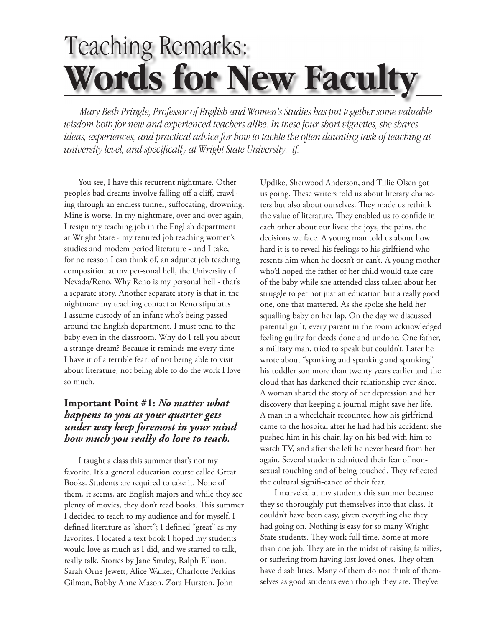## Teaching Remarks: **Words for New Faculty**

*Mary Beth Pringle, Professor of English and Women's Studies has put together some valuable wisdom both for new and experienced teachers alike. In these four short vignettes, she shares ideas, experiences, and practical advice for how to tackle the often daunting task of teaching at university level, and specifically at Wright State University. -tf.* 

You see, I have this recurrent nightmare. Other people's bad dreams involve falling off a cliff, crawling through an endless tunnel, suffocating, drowning. Mine is worse. In my nightmare, over and over again, I resign my teaching job in the English department at Wright State - my tenured job teaching women's studies and modem period literature - and I take, for no reason I can think of, an adjunct job teaching composition at my per-sonal hell, the University of Nevada/Reno. Why Reno is my personal hell - that's a separate story. Another separate story is that in the nightmare my teaching contact at Reno stipulates I assume custody of an infant who's being passed around the English department. I must tend to the baby even in the classroom. Why do I tell you about a strange dream? Because it reminds me every time I have it of a terrible fear: of not being able to visit about literature, not being able to do the work I love so much.

## **Important Point #1:** *No matter what happens to you as your quarter gets under way keep foremost in your mind how much you really do love to teach.*

I taught a class this summer that's not my favorite. It's a general education course called Great Books. Students are required to take it. None of them, it seems, are English majors and while they see plenty of movies, they don't read books. This summer I decided to teach to my audience and for myself. I defined literature as "short"; I defined "great" as my favorites. I located a text book I hoped my students would love as much as I did, and we started to talk, really talk. Stories by Jane Smiley, Ralph Ellison, Sarah Orne Jewett, Alice Walker, Charlotte Perkins Gilman, Bobby Anne Mason, Zora Hurston, John

Updike, Sherwood Anderson, and Tiilie Olsen got us going. These writers told us about literary characters but also about ourselves. They made us rethink the value of literature. They enabled us to confide in each other about our lives: the joys, the pains, the decisions we face. A young man told us about how hard it is to reveal his feelings to his girlfriend who resents him when he doesn't or can't. A young mother who'd hoped the father of her child would take care of the baby while she attended class talked about her struggle to get not just an education but a really good one, one that mattered. As she spoke she held her squalling baby on her lap. On the day we discussed parental guilt, every parent in the room acknowledged feeling guilty for deeds done and undone. One father, a military man, tried to speak but couldn't. Later he wrote about "spanking and spanking and spanking" his toddler son more than twenty years earlier and the cloud that has darkened their relationship ever since. A woman shared the story of her depression and her discovery that keeping a journal might save her life. A man in a wheelchair recounted how his girlfriend came to the hospital after he had had his accident: she pushed him in his chair, lay on his bed with him to watch TV, and after she left he never heard from her again. Several students admitted their fear of nonsexual touching and of being touched. They reflected the cultural signifi -cance of their fear.

 I marveled at my students this summer because they so thoroughly put themselves into that class. It couldn't have been easy, given everything else they had going on. Nothing is easy for so many Wright State students. They work full time. Some at more than one job. They are in the midst of raising families, or suffering from having lost loved ones. They often have disabilities. Many of them do not think of themselves as good students even though they are. They've